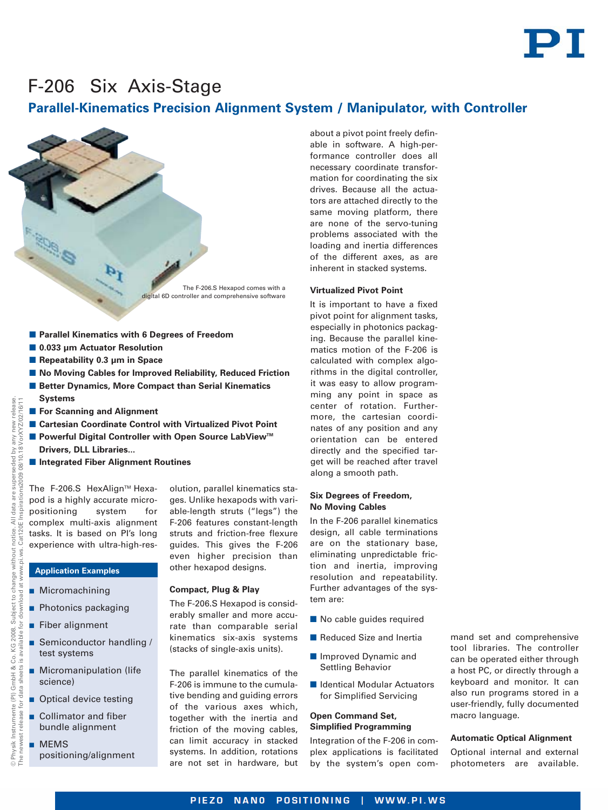# PI

## F-206 Six Axis-Stage

### **Parallel-Kinematics Precision Alignment System / Manipulator, with Controller**



- **0.033 µm Actuator Resolution**
- **E** Repeatability 0.3 μm in Space
- No Moving Cables for Improved Reliability, Reduced Friction
- **E** Better Dynamics, More Compact than Serial Kinematics **Systems**
- **E** For Scanning and Alignment
- **E** Cartesian Coordinate Control with Virtualized Pivot Point
- Powerful Digital Controller with Open Source LabView<sup>™</sup> **Drivers, DLL Libraries...**
- Integrated Fiber Alignment Routines

The F-206.S HexAlign<sup>™</sup> Hexapod is a highly accurate micropositioning system for complex multi-axis alignment tasks. It is based on PI's long experience with ultra-high-res-

olution, parallel kinematics stages. Unlike hexapods with variable-length struts ("legs") the F-206 features constant-length struts and friction-free flexure guides. This gives the F-206 even higher precision than other hexapod designs.

■ Micromachining

**Application Examples**

- **Photonics packaging**
- **Fiber alignment**
- - Semiconductor handling / test systems
- - Micromanipulation (life science)
- **Optical device testing**
- - Collimator and fiber bundle alignment
- **D** MEMS positioning/alignment

**Compact, Plug & Play**

The F-206.S Hexapod is considerably smaller and more accurate than comparable serial kinematics six-axis systems (stacks of single-axis units).

The parallel kinematics of the F-206 is immune to the cumulative bending and guiding errors of the various axes which, together with the inertia and friction of the moving cables, can limit accuracy in stacked systems. In addition, rotations are not set in hardware, but about a pivot point freely definable in software. A high-performance controller does all necessary coordinate transformation for coordinating the six drives. Because all the actuators are attached directly to the same moving platform, there are none of the servo-tuning problems associated with the loading and inertia differences of the different axes, as are inherent in stacked systems.

#### **Virtualized Pivot Point**

It is important to have a fixed pivot point for alignment tasks, especially in photonics packaging. Because the parallel kinematics motion of the F-206 is calculated with complex algorithms in the digital controller, it was easy to allow programming any point in space as center of rotation. Furthermore, the cartesian coordinates of any position and any orientation can be entered directly and the specified target will be reached after travel along a smooth path.

#### **Six Degrees of Freedom, No Moving Cables**

In the F-206 parallel kinematics design, all cable terminations are on the stationary base, eliminating unpredictable friction and inertia, improving resolution and repeatability. Further advantages of the system are:

- **No cable guides required**
- **Reduced Size and Inertia**
- **Improved Dynamic and** Settling Behavior
- **E** Identical Modular Actuators for Simplified Servicing

#### **Open Command Set, Simplified Programming**

Integration of the F-206 in complex applications is facilitated by the system's open command set and comprehensive tool libraries. The controller can be operated either through a host PC, or directly through a keyboard and monitor. It can also run programs stored in a user-friendly, fully documented macro language.

#### **Automatic Optical Alignment**

Optional internal and external photometers are available.